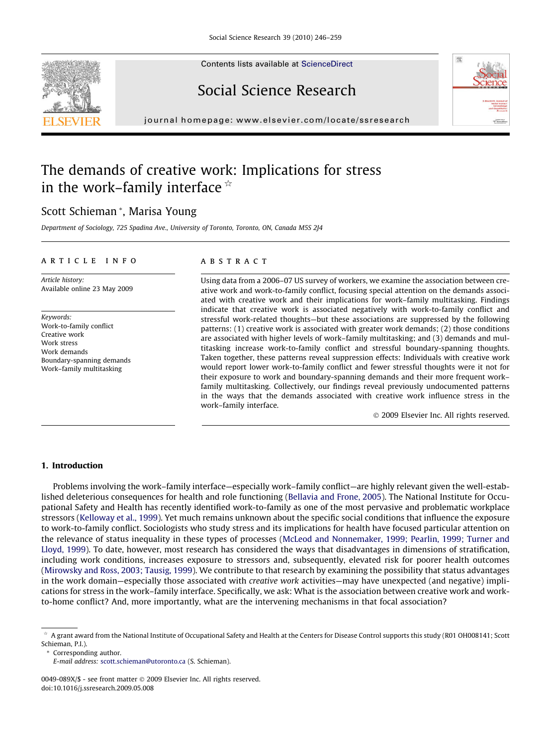Contents lists available at [ScienceDirect](http://www.sciencedirect.com/science/journal/0049089X)





# Social Science Research

journal homepage: [www.elsevier.com/locate/ssresearch](http://www.elsevier.com/locate/ssresearch)

# The demands of creative work: Implications for stress in the work–family interface  $\dot{\mathbf{x}}$

# Scott Schieman \*, Marisa Young

Department of Sociology, 725 Spadina Ave., University of Toronto, Toronto, ON, Canada M5S 2J4

# article info

Article history: Available online 23 May 2009

Keywords: Work-to-family conflict Creative work Work stress Work demands Boundary-spanning demands Work–family multitasking

# **ABSTRACT**

Using data from a 2006–07 US survey of workers, we examine the association between creative work and work-to-family conflict, focusing special attention on the demands associated with creative work and their implications for work–family multitasking. Findings indicate that creative work is associated negatively with work-to-family conflict and stressful work-related thoughts—but these associations are suppressed by the following patterns: (1) creative work is associated with greater work demands; (2) those conditions are associated with higher levels of work–family multitasking; and (3) demands and multitasking increase work-to-family conflict and stressful boundary-spanning thoughts. Taken together, these patterns reveal suppression effects: Individuals with creative work would report lower work-to-family conflict and fewer stressful thoughts were it not for their exposure to work and boundary-spanning demands and their more frequent work– family multitasking. Collectively, our findings reveal previously undocumented patterns in the ways that the demands associated with creative work influence stress in the work–family interface.

- 2009 Elsevier Inc. All rights reserved.

# 1. Introduction

Problems involving the work–family interface—especially work–family conflict—are highly relevant given the well-established deleterious consequences for health and role functioning [\(Bellavia and Frone, 2005\)](#page-12-0). The National Institute for Occupational Safety and Health has recently identified work-to-family as one of the most pervasive and problematic workplace stressors [\(Kelloway et al., 1999](#page-12-0)). Yet much remains unknown about the specific social conditions that influence the exposure to work-to-family conflict. Sociologists who study stress and its implications for health have focused particular attention on the relevance of status inequality in these types of processes [\(McLeod and Nonnemaker, 1999; Pearlin, 1999; Turner and](#page-12-0) [Lloyd, 1999](#page-12-0)). To date, however, most research has considered the ways that disadvantages in dimensions of stratification, including work conditions, increases exposure to stressors and, subsequently, elevated risk for poorer health outcomes [\(Mirowsky and Ross, 2003; Tausig, 1999\)](#page-12-0). We contribute to that research by examining the possibility that status advantages in the work domain—especially those associated with *creative work* activities—may have unexpected (and negative) implications for stress in the work–family interface. Specifically, we ask: What is the association between creative work and workto-home conflict? And, more importantly, what are the intervening mechanisms in that focal association?

Corresponding author. E-mail address: [scott.schieman@utoronto.ca](mailto:scott.schieman@utoronto.ca) (S. Schieman).

 $*$  A grant award from the National Institute of Occupational Safety and Health at the Centers for Disease Control supports this study (R01 OH008141; Scott Schieman, P.I.).

<sup>0049-089</sup>X/\$ - see front matter © 2009 Elsevier Inc. All rights reserved. doi:10.1016/j.ssresearch.2009.05.008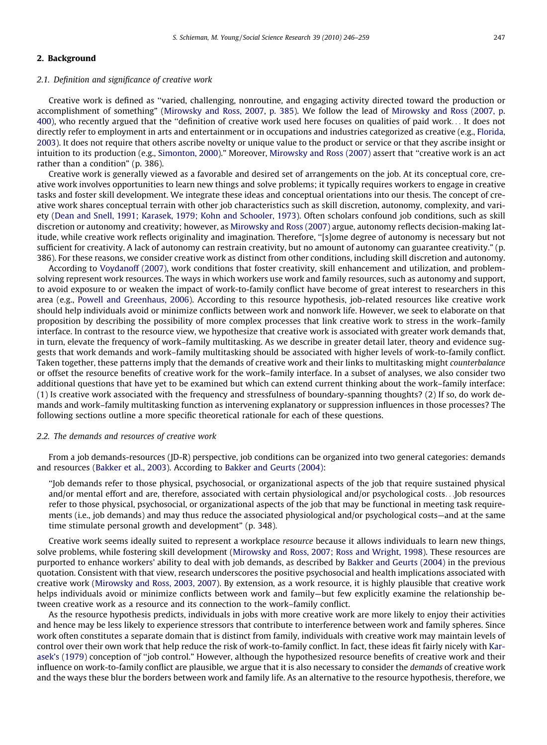# 2. Background

### 2.1. Definition and significance of creative work

Creative work is defined as ''varied, challenging, nonroutine, and engaging activity directed toward the production or accomplishment of something" [\(Mirowsky and Ross, 2007, p. 385\)](#page-12-0). We follow the lead of [Mirowsky and Ross \(2007, p.](#page-12-0) [400\),](#page-12-0) who recently argued that the ''definition of creative work used here focuses on qualities of paid work... It does not directly refer to employment in arts and entertainment or in occupations and industries categorized as creative (e.g., [Florida,](#page-12-0) [2003\)](#page-12-0). It does not require that others ascribe novelty or unique value to the product or service or that they ascribe insight or intuition to its production (e.g., [Simonton, 2000](#page-12-0))." Moreover, [Mirowsky and Ross \(2007\)](#page-12-0) assert that ''creative work is an act rather than a condition" (p. 386).

Creative work is generally viewed as a favorable and desired set of arrangements on the job. At its conceptual core, creative work involves opportunities to learn new things and solve problems; it typically requires workers to engage in creative tasks and foster skill development. We integrate these ideas and conceptual orientations into our thesis. The concept of creative work shares conceptual terrain with other job characteristics such as skill discretion, autonomy, complexity, and variety [\(Dean and Snell, 1991; Karasek, 1979; Kohn and Schooler, 1973](#page-12-0)). Often scholars confound job conditions, such as skill discretion or autonomy and creativity; however, as [Mirowsky and Ross \(2007\)](#page-12-0) argue, autonomy reflects decision-making latitude, while creative work reflects originality and imagination. Therefore, ''[s]ome degree of autonomy is necessary but not sufficient for creativity. A lack of autonomy can restrain creativity, but no amount of autonomy can guarantee creativity." (p. 386). For these reasons, we consider creative work as distinct from other conditions, including skill discretion and autonomy.

According to [Voydanoff \(2007\),](#page-13-0) work conditions that foster creativity, skill enhancement and utilization, and problemsolving represent work resources. The ways in which workers use work and family resources, such as autonomy and support, to avoid exposure to or weaken the impact of work-to-family conflict have become of great interest to researchers in this area (e.g., [Powell and Greenhaus, 2006](#page-12-0)). According to this resource hypothesis, job-related resources like creative work should help individuals avoid or minimize conflicts between work and nonwork life. However, we seek to elaborate on that proposition by describing the possibility of more complex processes that link creative work to stress in the work–family interface. In contrast to the resource view, we hypothesize that creative work is associated with greater work demands that, in turn, elevate the frequency of work–family multitasking. As we describe in greater detail later, theory and evidence suggests that work demands and work–family multitasking should be associated with higher levels of work-to-family conflict. Taken together, these patterns imply that the demands of creative work and their links to multitasking might counterbalance or offset the resource benefits of creative work for the work–family interface. In a subset of analyses, we also consider two additional questions that have yet to be examined but which can extend current thinking about the work–family interface: (1) Is creative work associated with the frequency and stressfulness of boundary-spanning thoughts? (2) If so, do work demands and work–family multitasking function as intervening explanatory or suppression influences in those processes? The following sections outline a more specific theoretical rationale for each of these questions.

# 2.2. The demands and resources of creative work

From a job demands-resources (JD-R) perspective, job conditions can be organized into two general categories: demands and resources [\(Bakker et al., 2003\)](#page-12-0). According to [Bakker and Geurts \(2004\):](#page-12-0)

''Job demands refer to those physical, psychosocial, or organizational aspects of the job that require sustained physical and/or mental effort and are, therefore, associated with certain physiological and/or psychological costs...Job resources refer to those physical, psychosocial, or organizational aspects of the job that may be functional in meeting task requirements (i.e., job demands) and may thus reduce the associated physiological and/or psychological costs—and at the same time stimulate personal growth and development" (p. 348).

Creative work seems ideally suited to represent a workplace resource because it allows individuals to learn new things, solve problems, while fostering skill development ([Mirowsky and Ross, 2007; Ross and Wright, 1998\)](#page-12-0). These resources are purported to enhance workers' ability to deal with job demands, as described by [Bakker and Geurts \(2004\)](#page-12-0) in the previous quotation. Consistent with that view, research underscores the positive psychosocial and health implications associated with creative work ([Mirowsky and Ross, 2003, 2007](#page-12-0)). By extension, as a work resource, it is highly plausible that creative work helps individuals avoid or minimize conflicts between work and family—but few explicitly examine the relationship between creative work as a resource and its connection to the work–family conflict.

As the resource hypothesis predicts, individuals in jobs with more creative work are more likely to enjoy their activities and hence may be less likely to experience stressors that contribute to interference between work and family spheres. Since work often constitutes a separate domain that is distinct from family, individuals with creative work may maintain levels of control over their own work that help reduce the risk of work-to-family conflict. In fact, these ideas fit fairly nicely with [Kar](#page-12-0)[asek's \(1979\)](#page-12-0) conception of ''job control." However, although the hypothesized resource benefits of creative work and their influence on work-to-family conflict are plausible, we argue that it is also necessary to consider the demands of creative work and the ways these blur the borders between work and family life. As an alternative to the resource hypothesis, therefore, we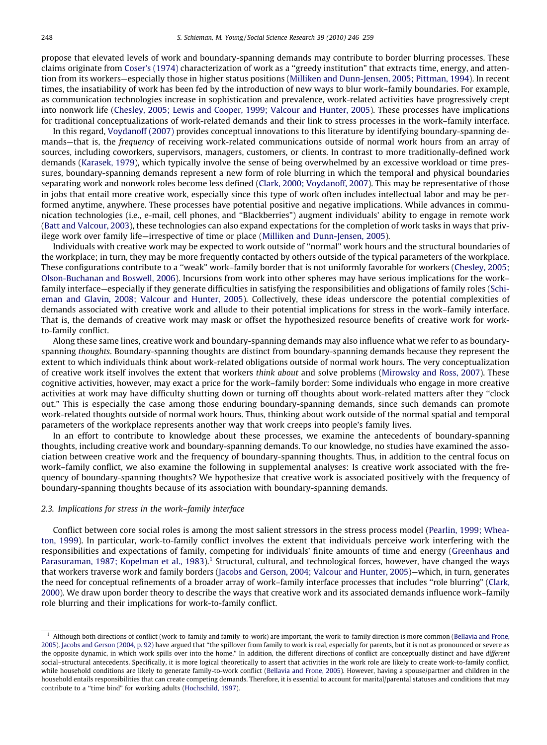propose that elevated levels of work and boundary-spanning demands may contribute to border blurring processes. These claims originate from [Coser's \(1974\)](#page-12-0) characterization of work as a ''greedy institution" that extracts time, energy, and attention from its workers—especially those in higher status positions ([Milliken and Dunn-Jensen, 2005; Pittman, 1994](#page-12-0)). In recent times, the insatiability of work has been fed by the introduction of new ways to blur work–family boundaries. For example, as communication technologies increase in sophistication and prevalence, work-related activities have progressively crept into nonwork life ([Chesley, 2005; Lewis and Cooper, 1999; Valcour and Hunter, 2005\)](#page-12-0). These processes have implications for traditional conceptualizations of work-related demands and their link to stress processes in the work–family interface.

In this regard, [Voydanoff \(2007\)](#page-13-0) provides conceptual innovations to this literature by identifying boundary-spanning demands—that is, the frequency of receiving work-related communications outside of normal work hours from an array of sources, including coworkers, supervisors, managers, customers, or clients. In contrast to more traditionally-defined work demands [\(Karasek, 1979](#page-12-0)), which typically involve the sense of being overwhelmed by an excessive workload or time pressures, boundary-spanning demands represent a new form of role blurring in which the temporal and physical boundaries separating work and nonwork roles become less defined ([Clark, 2000; Voydanoff, 2007\)](#page-12-0). This may be representative of those in jobs that entail more creative work, especially since this type of work often includes intellectual labor and may be performed anytime, anywhere. These processes have potential positive and negative implications. While advances in communication technologies (i.e., e-mail, cell phones, and ''Blackberries") augment individuals' ability to engage in remote work [\(Batt and Valcour, 2003\)](#page-12-0), these technologies can also expand expectations for the completion of work tasks in ways that privilege work over family life—irrespective of time or place [\(Milliken and Dunn-Jensen, 2005\)](#page-12-0).

Individuals with creative work may be expected to work outside of ''normal" work hours and the structural boundaries of the workplace; in turn, they may be more frequently contacted by others outside of the typical parameters of the workplace. These configurations contribute to a ''weak" work–family border that is not uniformly favorable for workers ([Chesley, 2005;](#page-12-0) [Olson-Buchanan and Boswell, 2006\)](#page-12-0). Incursions from work into other spheres may have serious implications for the work– family interface—especially if they generate difficulties in satisfying the responsibilities and obligations of family roles ([Schi](#page-12-0)[eman and Glavin, 2008; Valcour and Hunter, 2005](#page-12-0)). Collectively, these ideas underscore the potential complexities of demands associated with creative work and allude to their potential implications for stress in the work–family interface. That is, the demands of creative work may mask or offset the hypothesized resource benefits of creative work for workto-family conflict.

Along these same lines, creative work and boundary-spanning demands may also influence what we refer to as boundaryspanning thoughts. Boundary-spanning thoughts are distinct from boundary-spanning demands because they represent the extent to which individuals think about work-related obligations outside of normal work hours. The very conceptualization of creative work itself involves the extent that workers think about and solve problems [\(Mirowsky and Ross, 2007\)](#page-12-0). These cognitive activities, however, may exact a price for the work–family border: Some individuals who engage in more creative activities at work may have difficulty shutting down or turning off thoughts about work-related matters after they ''clock out." This is especially the case among those enduring boundary-spanning demands, since such demands can promote work-related thoughts outside of normal work hours. Thus, thinking about work outside of the normal spatial and temporal parameters of the workplace represents another way that work creeps into people's family lives.

In an effort to contribute to knowledge about these processes, we examine the antecedents of boundary-spanning thoughts, including creative work and boundary-spanning demands. To our knowledge, no studies have examined the association between creative work and the frequency of boundary-spanning thoughts. Thus, in addition to the central focus on work–family conflict, we also examine the following in supplemental analyses: Is creative work associated with the frequency of boundary-spanning thoughts? We hypothesize that creative work is associated positively with the frequency of boundary-spanning thoughts because of its association with boundary-spanning demands.

#### 2.3. Implications for stress in the work–family interface

Conflict between core social roles is among the most salient stressors in the stress process model [\(Pearlin, 1999; Whea](#page-12-0)[ton, 1999](#page-12-0)). In particular, work-to-family conflict involves the extent that individuals perceive work interfering with the responsibilities and expectations of family, competing for individuals' finite amounts of time and energy [\(Greenhaus and](#page-12-0) [Parasuraman, 1987; Kopelman et al., 1983](#page-12-0)).<sup>1</sup> Structural, cultural, and technological forces, however, have changed the ways that workers traverse work and family borders ([Jacobs and Gerson, 2004; Valcour and Hunter, 2005\)](#page-12-0)—which, in turn, generates the need for conceptual refinements of a broader array of work–family interface processes that includes ''role blurring" ([Clark,](#page-12-0) [2000](#page-12-0)). We draw upon border theory to describe the ways that creative work and its associated demands influence work–family role blurring and their implications for work-to-family conflict.

<sup>&</sup>lt;sup>1</sup> Although both directions of conflict (work-to-family and family-to-work) are important, the work-to-family direction is more common [\(Bellavia and Frone,](#page-12-0) [2005\)](#page-12-0). [Jacobs and Gerson \(2004, p. 92\)](#page-12-0) have argued that ''the spillover from family to work is real, especially for parents, but it is not as pronounced or severe as the opposite dynamic, in which work spills over into the home." In addition, the different directions of conflict are conceptually distinct and have different social–structural antecedents. Specifically, it is more logical theoretically to assert that activities in the work role are likely to create work-to-family conflict, while household conditions are likely to generate family-to-work conflict ([Bellavia and Frone, 2005](#page-12-0)). However, having a spouse/partner and children in the household entails responsibilities that can create competing demands. Therefore, it is essential to account for marital/parental statuses and conditions that may contribute to a ''time bind" for working adults [\(Hochschild, 1997](#page-12-0)).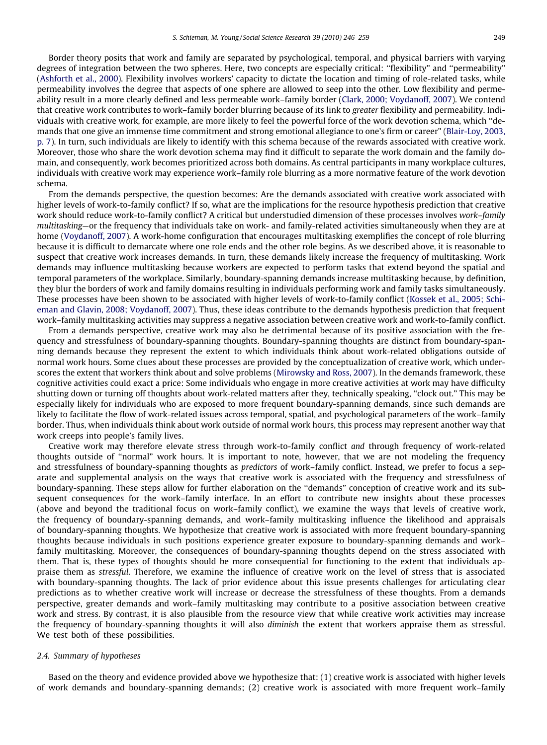Border theory posits that work and family are separated by psychological, temporal, and physical barriers with varying degrees of integration between the two spheres. Here, two concepts are especially critical: ''flexibility" and ''permeability" ([Ashforth et al., 2000\)](#page-12-0). Flexibility involves workers' capacity to dictate the location and timing of role-related tasks, while permeability involves the degree that aspects of one sphere are allowed to seep into the other. Low flexibility and permeability result in a more clearly defined and less permeable work–family border [\(Clark, 2000; Voydanoff, 2007](#page-12-0)). We contend that creative work contributes to work–family border blurring because of its link to greater flexibility and permeability. Individuals with creative work, for example, are more likely to feel the powerful force of the work devotion schema, which ''demands that one give an immense time commitment and strong emotional allegiance to one's firm or career" ([Blair-Loy, 2003,](#page-12-0) [p. 7\)](#page-12-0). In turn, such individuals are likely to identify with this schema because of the rewards associated with creative work. Moreover, those who share the work devotion schema may find it difficult to separate the work domain and the family domain, and consequently, work becomes prioritized across both domains. As central participants in many workplace cultures, individuals with creative work may experience work–family role blurring as a more normative feature of the work devotion schema.

From the demands perspective, the question becomes: Are the demands associated with creative work associated with higher levels of work-to-family conflict? If so, what are the implications for the resource hypothesis prediction that creative work should reduce work-to-family conflict? A critical but understudied dimension of these processes involves work–family multitasking—or the frequency that individuals take on work- and family-related activities simultaneously when they are at home ([Voydanoff, 2007\)](#page-13-0). A work-home configuration that encourages multitasking exemplifies the concept of role blurring because it is difficult to demarcate where one role ends and the other role begins. As we described above, it is reasonable to suspect that creative work increases demands. In turn, these demands likely increase the frequency of multitasking. Work demands may influence multitasking because workers are expected to perform tasks that extend beyond the spatial and temporal parameters of the workplace. Similarly, boundary-spanning demands increase multitasking because, by definition, they blur the borders of work and family domains resulting in individuals performing work and family tasks simultaneously. These processes have been shown to be associated with higher levels of work-to-family conflict ([Kossek et al., 2005; Schi](#page-12-0)[eman and Glavin, 2008; Voydanoff, 2007](#page-12-0)). Thus, these ideas contribute to the demands hypothesis prediction that frequent work–family multitasking activities may suppress a negative association between creative work and work-to-family conflict.

From a demands perspective, creative work may also be detrimental because of its positive association with the frequency and stressfulness of boundary-spanning thoughts. Boundary-spanning thoughts are distinct from boundary-spanning demands because they represent the extent to which individuals think about work-related obligations outside of normal work hours. Some clues about these processes are provided by the conceptualization of creative work, which underscores the extent that workers think about and solve problems ([Mirowsky and Ross, 2007\)](#page-12-0). In the demands framework, these cognitive activities could exact a price: Some individuals who engage in more creative activities at work may have difficulty shutting down or turning off thoughts about work-related matters after they, technically speaking, ''clock out." This may be especially likely for individuals who are exposed to more frequent boundary-spanning demands, since such demands are likely to facilitate the flow of work-related issues across temporal, spatial, and psychological parameters of the work–family border. Thus, when individuals think about work outside of normal work hours, this process may represent another way that work creeps into people's family lives.

Creative work may therefore elevate stress through work-to-family conflict and through frequency of work-related thoughts outside of ''normal" work hours. It is important to note, however, that we are not modeling the frequency and stressfulness of boundary-spanning thoughts as predictors of work–family conflict. Instead, we prefer to focus a separate and supplemental analysis on the ways that creative work is associated with the frequency and stressfulness of boundary-spanning. These steps allow for further elaboration on the ''demands" conception of creative work and its subsequent consequences for the work–family interface. In an effort to contribute new insights about these processes (above and beyond the traditional focus on work–family conflict), we examine the ways that levels of creative work, the frequency of boundary-spanning demands, and work–family multitasking influence the likelihood and appraisals of boundary-spanning thoughts. We hypothesize that creative work is associated with more frequent boundary-spanning thoughts because individuals in such positions experience greater exposure to boundary-spanning demands and work– family multitasking. Moreover, the consequences of boundary-spanning thoughts depend on the stress associated with them. That is, these types of thoughts should be more consequential for functioning to the extent that individuals appraise them as stressful. Therefore, we examine the influence of creative work on the level of stress that is associated with boundary-spanning thoughts. The lack of prior evidence about this issue presents challenges for articulating clear predictions as to whether creative work will increase or decrease the stressfulness of these thoughts. From a demands perspective, greater demands and work–family multitasking may contribute to a positive association between creative work and stress. By contrast, it is also plausible from the resource view that while creative work activities may increase the frequency of boundary-spanning thoughts it will also diminish the extent that workers appraise them as stressful. We test both of these possibilities.

# 2.4. Summary of hypotheses

Based on the theory and evidence provided above we hypothesize that: (1) creative work is associated with higher levels of work demands and boundary-spanning demands; (2) creative work is associated with more frequent work–family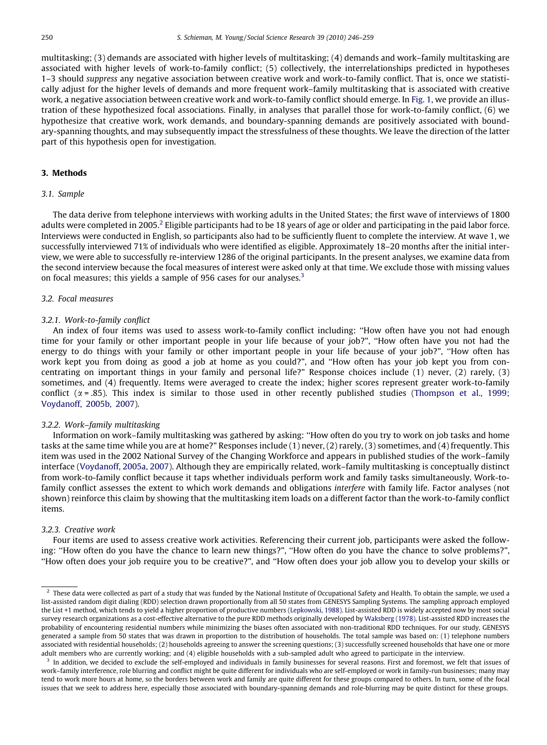multitasking; (3) demands are associated with higher levels of multitasking; (4) demands and work–family multitasking are associated with higher levels of work-to-family conflict; (5) collectively, the interrelationships predicted in hypotheses 1–3 should suppress any negative association between creative work and work-to-family conflict. That is, once we statistically adjust for the higher levels of demands and more frequent work–family multitasking that is associated with creative work, a negative association between creative work and work-to-family conflict should emerge. In [Fig. 1](#page-5-0), we provide an illustration of these hypothesized focal associations. Finally, in analyses that parallel those for work-to-family conflict, (6) we hypothesize that creative work, work demands, and boundary-spanning demands are positively associated with boundary-spanning thoughts, and may subsequently impact the stressfulness of these thoughts. We leave the direction of the latter part of this hypothesis open for investigation.

#### 3. Methods

# 3.1. Sample

The data derive from telephone interviews with working adults in the United States; the first wave of interviews of 1800 adults were completed in 2005.<sup>2</sup> Eligible participants had to be 18 years of age or older and participating in the paid labor force. Interviews were conducted in English, so participants also had to be sufficiently fluent to complete the interview. At wave 1, we successfully interviewed 71% of individuals who were identified as eligible. Approximately 18–20 months after the initial interview, we were able to successfully re-interview 1286 of the original participants. In the present analyses, we examine data from the second interview because the focal measures of interest were asked only at that time. We exclude those with missing values on focal measures; this yields a sample of 956 cases for our analyses.<sup>3</sup>

#### 3.2. Focal measures

#### 3.2.1. Work-to-family conflict

An index of four items was used to assess work-to-family conflict including: ''How often have you not had enough time for your family or other important people in your life because of your job?", ''How often have you not had the energy to do things with your family or other important people in your life because of your job?", ''How often has work kept you from doing as good a job at home as you could?", and ''How often has your job kept you from concentrating on important things in your family and personal life?" Response choices include (1) never, (2) rarely, (3) sometimes, and (4) frequently. Items were averaged to create the index; higher scores represent greater work-to-family conflict ( $\alpha$  = .85). This index is similar to those used in other recently published studies ([Thompson et al., 1999;](#page-12-0) [Voydanoff, 2005b, 2007](#page-12-0)).

# 3.2.2. Work–family multitasking

Information on work–family multitasking was gathered by asking: ''How often do you try to work on job tasks and home tasks at the same time while you are at home?" Responses include (1) never, (2) rarely, (3) sometimes, and (4) frequently. This item was used in the 2002 National Survey of the Changing Workforce and appears in published studies of the work–family interface ([Voydanoff, 2005a, 2007](#page-12-0)). Although they are empirically related, work–family multitasking is conceptually distinct from work-to-family conflict because it taps whether individuals perform work and family tasks simultaneously. Work-tofamily conflict assesses the extent to which work demands and obligations interfere with family life. Factor analyses (not shown) reinforce this claim by showing that the multitasking item loads on a different factor than the work-to-family conflict items.

# 3.2.3. Creative work

Four items are used to assess creative work activities. Referencing their current job, participants were asked the following: ''How often do you have the chance to learn new things?", ''How often do you have the chance to solve problems?", ''How often does your job require you to be creative?", and ''How often does your job allow you to develop your skills or

<sup>&</sup>lt;sup>2</sup> These data were collected as part of a study that was funded by the National Institute of Occupational Safety and Health. To obtain the sample, we used a list-assisted random digit dialing (RDD) selection drawn proportionally from all 50 states from GENESYS Sampling Systems. The sampling approach employed the List +1 method, which tends to yield a higher proportion of productive numbers ([Lepkowski, 1988](#page-12-0)). List-assisted RDD is widely accepted now by most social survey research organizations as a cost-effective alternative to the pure RDD methods originally developed by [Waksberg \(1978\).](#page-13-0) List-assisted RDD increases the probability of encountering residential numbers while minimizing the biases often associated with non-traditional RDD techniques. For our study, GENESYS generated a sample from 50 states that was drawn in proportion to the distribution of households. The total sample was based on: (1) telephone numbers associated with residential households; (2) households agreeing to answer the screening questions; (3) successfully screened households that have one or more adult members who are currently working; and (4) eligible households with a sub-sampled adult who agreed to participate in the interview.

<sup>&</sup>lt;sup>3</sup> In addition, we decided to exclude the self-employed and individuals in family businesses for several reasons. First and foremost, we felt that issues of work–family interference, role blurring and conflict might be quite different for individuals who are self-employed or work in family-run businesses; many may tend to work more hours at home, so the borders between work and family are quite different for these groups compared to others. In turn, some of the focal issues that we seek to address here, especially those associated with boundary-spanning demands and role-blurring may be quite distinct for these groups.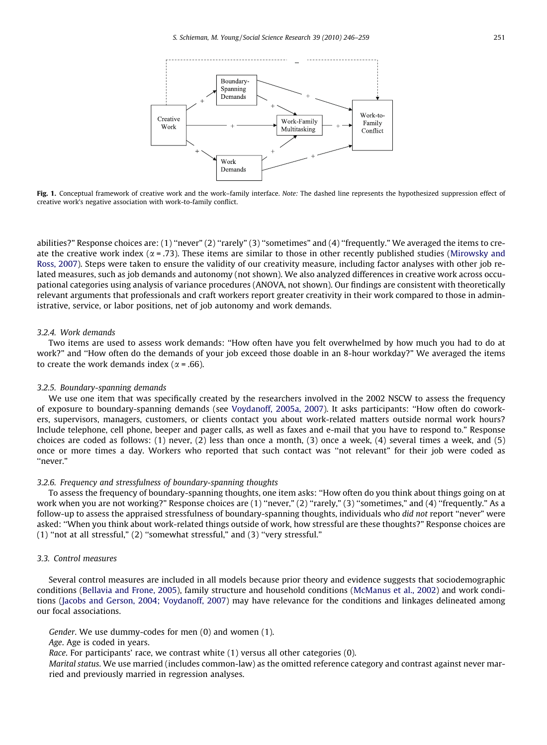<span id="page-5-0"></span>

Fig. 1. Conceptual framework of creative work and the work-family interface. Note: The dashed line represents the hypothesized suppression effect of creative work's negative association with work-to-family conflict.

abilities?" Response choices are: (1) ''never" (2) ''rarely" (3) ''sometimes" and (4) ''frequently." We averaged the items to create the creative work index ( $\alpha$  = .73). These items are similar to those in other recently published studies [\(Mirowsky and](#page-12-0) [Ross, 2007](#page-12-0)). Steps were taken to ensure the validity of our creativity measure, including factor analyses with other job related measures, such as job demands and autonomy (not shown). We also analyzed differences in creative work across occupational categories using analysis of variance procedures (ANOVA, not shown). Our findings are consistent with theoretically relevant arguments that professionals and craft workers report greater creativity in their work compared to those in administrative, service, or labor positions, net of job autonomy and work demands.

#### 3.2.4. Work demands

Two items are used to assess work demands: ''How often have you felt overwhelmed by how much you had to do at work?" and ''How often do the demands of your job exceed those doable in an 8-hour workday?" We averaged the items to create the work demands index ( $\alpha$  = .66).

#### 3.2.5. Boundary-spanning demands

We use one item that was specifically created by the researchers involved in the 2002 NSCW to assess the frequency of exposure to boundary-spanning demands (see [Voydanoff, 2005a, 2007](#page-12-0)). It asks participants: ''How often do coworkers, supervisors, managers, customers, or clients contact you about work-related matters outside normal work hours? Include telephone, cell phone, beeper and pager calls, as well as faxes and e-mail that you have to respond to." Response choices are coded as follows: (1) never, (2) less than once a month, (3) once a week, (4) several times a week, and (5) once or more times a day. Workers who reported that such contact was ''not relevant" for their job were coded as ''never."

# 3.2.6. Frequency and stressfulness of boundary-spanning thoughts

To assess the frequency of boundary-spanning thoughts, one item asks: ''How often do you think about things going on at work when you are not working?" Response choices are (1) "never," (2) "rarely," (3) "sometimes," and (4) "frequently." As a follow-up to assess the appraised stressfulness of boundary-spanning thoughts, individuals who did not report "never" were asked: ''When you think about work-related things outside of work, how stressful are these thoughts?" Response choices are (1) ''not at all stressful," (2) ''somewhat stressful," and (3) ''very stressful."

# 3.3. Control measures

Several control measures are included in all models because prior theory and evidence suggests that sociodemographic conditions [\(Bellavia and Frone, 2005](#page-12-0)), family structure and household conditions [\(McManus et al., 2002](#page-12-0)) and work conditions ([Jacobs and Gerson, 2004; Voydanoff, 2007](#page-12-0)) may have relevance for the conditions and linkages delineated among our focal associations.

Gender. We use dummy-codes for men (0) and women (1).

Age. Age is coded in years.

Race. For participants' race, we contrast white (1) versus all other categories (0).

Marital status. We use married (includes common-law) as the omitted reference category and contrast against never married and previously married in regression analyses.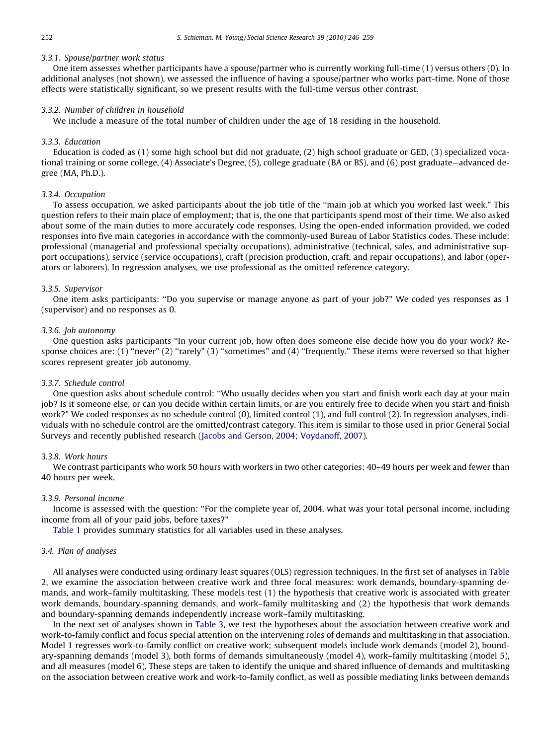# 3.3.1. Spouse/partner work status

One item assesses whether participants have a spouse/partner who is currently working full-time (1) versus others (0). In additional analyses (not shown), we assessed the influence of having a spouse/partner who works part-time. None of those effects were statistically significant, so we present results with the full-time versus other contrast.

#### 3.3.2. Number of children in household

We include a measure of the total number of children under the age of 18 residing in the household.

# 3.3.3. Education

Education is coded as (1) some high school but did not graduate, (2) high school graduate or GED, (3) specialized vocational training or some college, (4) Associate's Degree, (5), college graduate (BA or BS), and (6) post graduate—advanced degree (MA, Ph.D.).

#### 3.3.4. Occupation

To assess occupation, we asked participants about the job title of the ''main job at which you worked last week." This question refers to their main place of employment; that is, the one that participants spend most of their time. We also asked about some of the main duties to more accurately code responses. Using the open-ended information provided, we coded responses into five main categories in accordance with the commonly-used Bureau of Labor Statistics codes. These include: professional (managerial and professional specialty occupations), administrative (technical, sales, and administrative support occupations), service (service occupations), craft (precision production, craft, and repair occupations), and labor (operators or laborers). In regression analyses, we use professional as the omitted reference category.

# 3.3.5. Supervisor

One item asks participants: ''Do you supervise or manage anyone as part of your job?" We coded yes responses as 1 (supervisor) and no responses as 0.

# 3.3.6. Job autonomy

One question asks participants ''In your current job, how often does someone else decide how you do your work? Response choices are: (1) "never" (2) "rarely" (3) "sometimes" and (4) "frequently." These items were reversed so that higher scores represent greater job autonomy.

# 3.3.7. Schedule control

One question asks about schedule control: ''Who usually decides when you start and finish work each day at your main job? Is it someone else, or can you decide within certain limits, or are you entirely free to decide when you start and finish work?" We coded responses as no schedule control (0), limited control (1), and full control (2). In regression analyses, individuals with no schedule control are the omitted/contrast category. This item is similar to those used in prior General Social Surveys and recently published research ([Jacobs and Gerson, 2004; Voydanoff, 2007](#page-12-0)).

#### 3.3.8. Work hours

We contrast participants who work 50 hours with workers in two other categories: 40–49 hours per week and fewer than 40 hours per week.

#### 3.3.9. Personal income

Income is assessed with the question: ''For the complete year of, 2004, what was your total personal income, including income from all of your paid jobs, before taxes?"

[Table 1](#page-7-0) provides summary statistics for all variables used in these analyses.

## 3.4. Plan of analyses

All analyses were conducted using ordinary least squares (OLS) regression techniques. In the first set of analyses in [Table](#page-8-0) [2,](#page-8-0) we examine the association between creative work and three focal measures: work demands, boundary-spanning demands, and work–family multitasking. These models test (1) the hypothesis that creative work is associated with greater work demands, boundary-spanning demands, and work–family multitasking and (2) the hypothesis that work demands and boundary-spanning demands independently increase work–family multitasking.

In the next set of analyses shown in [Table 3,](#page-9-0) we test the hypotheses about the association between creative work and work-to-family conflict and focus special attention on the intervening roles of demands and multitasking in that association. Model 1 regresses work-to-family conflict on creative work; subsequent models include work demands (model 2), boundary-spanning demands (model 3), both forms of demands simultaneously (model 4), work–family multitasking (model 5), and all measures (model 6). These steps are taken to identify the unique and shared influence of demands and multitasking on the association between creative work and work-to-family conflict, as well as possible mediating links between demands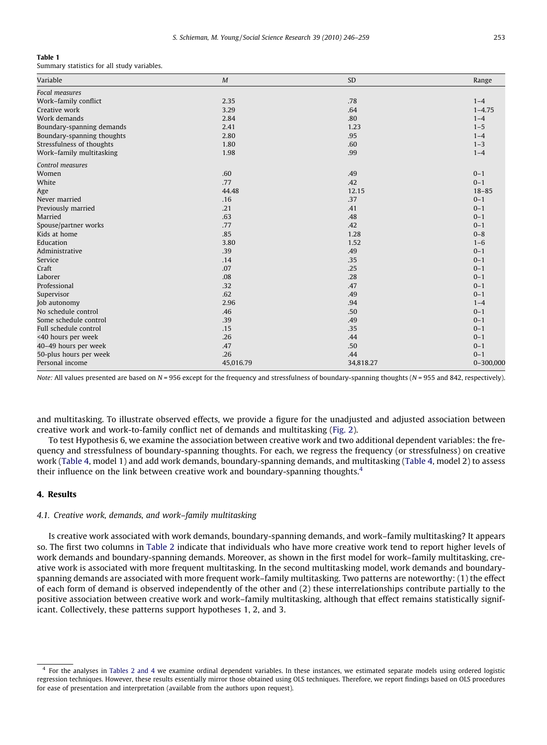<span id="page-7-0"></span>Summary statistics for all study variables.

| Variable                   | M         | <b>SD</b> | Range         |
|----------------------------|-----------|-----------|---------------|
| <b>Focal measures</b>      |           |           |               |
| Work-family conflict       | 2.35      | .78       | $1 - 4$       |
| Creative work              | 3.29      | .64       | $1 - 4.75$    |
| Work demands               | 2.84      | .80       | $1 - 4$       |
| Boundary-spanning demands  | 2.41      | 1.23      | $1 - 5$       |
| Boundary-spanning thoughts | 2.80      | .95       | $1 - 4$       |
| Stressfulness of thoughts  | 1.80      | .60       | $1 - 3$       |
| Work-family multitasking   | 1.98      | .99       | $1 - 4$       |
| Control measures           |           |           |               |
| Women                      | .60       | .49       | $0 - 1$       |
| White                      | .77       | .42       | $0 - 1$       |
| Age                        | 44.48     | 12.15     | $18 - 85$     |
| Never married              | .16       | .37       | $0 - 1$       |
| Previously married         | .21       | .41       | $0 - 1$       |
| Married                    | .63       | .48       | $0 - 1$       |
| Spouse/partner works       | .77       | .42       | $0 - 1$       |
| Kids at home               | .85       | 1.28      | $0 - 8$       |
| Education                  | 3.80      | 1.52      | $1 - 6$       |
| Administrative             | .39       | .49       | $0 - 1$       |
| Service                    | .14       | .35       | $0 - 1$       |
| Craft                      | .07       | .25       | $0 - 1$       |
| Laborer                    | .08       | .28       | $0 - 1$       |
| Professional               | .32       | .47       | $0 - 1$       |
| Supervisor                 | .62       | .49       | $0 - 1$       |
| Job autonomy               | 2.96      | .94       | $1 - 4$       |
| No schedule control        | .46       | .50       | $0 - 1$       |
| Some schedule control      | .39       | .49       | $0 - 1$       |
| Full schedule control      | .15       | .35       | $0 - 1$       |
| <40 hours per week         | .26       | .44       | $0 - 1$       |
| 40-49 hours per week       | .47       | .50       | $0 - 1$       |
| 50-plus hours per week     | .26       | .44       | $0 - 1$       |
| Personal income            | 45,016.79 | 34,818.27 | $0 - 300,000$ |

Note: All values presented are based on N = 956 except for the frequency and stressfulness of boundary-spanning thoughts (N = 955 and 842, respectively).

and multitasking. To illustrate observed effects, we provide a figure for the unadjusted and adjusted association between creative work and work-to-family conflict net of demands and multitasking [\(Fig. 2\)](#page-10-0).

To test Hypothesis 6, we examine the association between creative work and two additional dependent variables: the frequency and stressfulness of boundary-spanning thoughts. For each, we regress the frequency (or stressfulness) on creative work [\(Table 4,](#page-11-0) model 1) and add work demands, boundary-spanning demands, and multitasking [\(Table 4,](#page-11-0) model 2) to assess their influence on the link between creative work and boundary-spanning thoughts.<sup>4</sup>

## 4. Results

#### 4.1. Creative work, demands, and work–family multitasking

Is creative work associated with work demands, boundary-spanning demands, and work–family multitasking? It appears so. The first two columns in [Table 2](#page-8-0) indicate that individuals who have more creative work tend to report higher levels of work demands and boundary-spanning demands. Moreover, as shown in the first model for work–family multitasking, creative work is associated with more frequent multitasking. In the second multitasking model, work demands and boundaryspanning demands are associated with more frequent work–family multitasking. Two patterns are noteworthy: (1) the effect of each form of demand is observed independently of the other and (2) these interrelationships contribute partially to the positive association between creative work and work–family multitasking, although that effect remains statistically significant. Collectively, these patterns support hypotheses 1, 2, and 3.

 $<sup>4</sup>$  For the analyses in [Tables 2 and 4](#page-8-0) we examine ordinal dependent variables. In these instances, we estimated separate models using ordered logistic</sup> regression techniques. However, these results essentially mirror those obtained using OLS techniques. Therefore, we report findings based on OLS procedures for ease of presentation and interpretation (available from the authors upon request).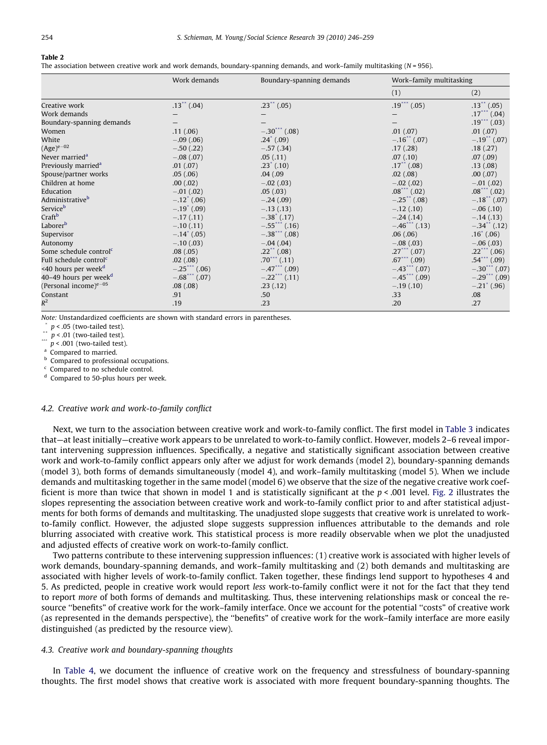<span id="page-8-0"></span>The association between creative work and work demands, boundary-spanning demands, and work–family multitasking ( $N = 956$ ).

|                                    | Work demands<br>Boundary-spanning demands | Work-family multitasking    |                  |                            |
|------------------------------------|-------------------------------------------|-----------------------------|------------------|----------------------------|
|                                    |                                           |                             | (1)              | (2)                        |
| Creative work                      | $.13$ (.04)                               | $.23$ (.05)                 | $.19$ (.05)      | $.13$ (.05)                |
| Work demands                       |                                           |                             |                  | $.17$ $(.04)$              |
| Boundary-spanning demands          |                                           |                             |                  | $.19$ (.03)                |
| Women                              | .11(.06)                                  | $-.30$ <sup>***</sup> (.08) | .01(.07)         | .01(.07)                   |
| White                              | $-.09(.06)$                               | $.24^*$ (.09)               | $-.16$ (.07)     | $-.19$ (.07)               |
| $(Age)^{e-02}$                     | $-.50(.22)$                               | $-.57(.34)$                 | .17(.28)         | .18(.27)                   |
| Never married <sup>a</sup>         | $-.08(.07)$                               | .05(0.11)                   | .07(0.10)        | .07(.09)                   |
| Previously married <sup>a</sup>    | .01(.07)                                  | $.23^{\star}$ (.10)         | $.17$ (.08)      | .13(.08)                   |
| Spouse/partner works               | .05(.06)                                  | .04(.09)                    | .02(.08)         | .00(.07)                   |
| Children at home                   | .00(.02)                                  | $-.02(.03)$                 | $-.02$ (.02)     | $-.01(.02)$                |
| Education                          | $-.01(.02)$                               | .05(.03)                    | $.08***$ $(.02)$ | $.08$ (.02)                |
| Administrative <sup>b</sup>        | $-.12^*(.06)$                             | $-.24(.09)$                 | $-.25$ ** (.08)  | $-.18$ * (.07)             |
| Service <sup>b</sup>               | $-.19^{\dagger}$ (.09)                    | $-.13(.13)$                 | $-.12(.10)$      | $-.06(.10)$                |
| Craft <sup>b</sup>                 | $-.17(.11)$                               | $-.38^*(.17)$               | $-.24(.14)$      | $-.14(.13)$                |
| Laborer <sup>b</sup>               | $-.10(.11)$                               | $-.55$ $(.16)$              | $-.46$ (.13)     | $-.34$ (.12)               |
| Supervisor                         | $-.14^*(.05)$                             | $-.38$ $(.08)$              | .06(.06)         | $.16^*$ (.06)              |
| Autonomy                           | $-.10(.03)$                               | $-.04(.04)$                 | $-.08(.03)$      | $-.06(.03)$                |
| Some schedule control <sup>c</sup> | .08(.05)                                  | $.22$ * $(.08)$             | $.27$ (.07)      | $.22$ <sup>***</sup> (.06) |
| Full schedule control <sup>c</sup> | .02(.08)                                  | $.70***$ $(.11)$            | $.67$ (.09)      | $.54$ (.09)                |
| <40 hours per week <sup>d</sup>    | $-.25***(0.06)$                           | $-.47$ (.09)                | $-.43$ (.07)     | $-.30***$ (.07)            |
| 40-49 hours per week <sup>d</sup>  | $-.68$ <sup>***</sup> (.07)               | $-.22$ (.11)                | $-.45***(09)$    | $-.29***$ (.09)            |
| (Personal income) $e^{-0.5}$       | .08(.08)                                  | .23(.12)                    | $-.19(.10)$      | $-.21^{\degree}(.96)$      |
| Constant                           | .91                                       | .50                         | .33              | .08                        |
| $R^2$                              | .19                                       | .23                         | .20              | .27                        |

Note: Unstandardized coefficients are shown with standard errors in parentheses.

 $p < .05$  (two-tailed test).

 $p < .01$  (two-tailed test).

 $p < .001$  (two-tailed test).

Compared to married.

**b** Compared to professional occupations.

<sup>c</sup> Compared to no schedule control.

Compared to 50-plus hours per week.

#### 4.2. Creative work and work-to-family conflict

Next, we turn to the association between creative work and work-to-family conflict. The first model in [Table 3](#page-9-0) indicates that—at least initially—creative work appears to be unrelated to work-to-family conflict. However, models 2–6 reveal important intervening suppression influences. Specifically, a negative and statistically significant association between creative work and work-to-family conflict appears only after we adjust for work demands (model 2), boundary-spanning demands (model 3), both forms of demands simultaneously (model 4), and work–family multitasking (model 5). When we include demands and multitasking together in the same model (model 6) we observe that the size of the negative creative work coefficient is more than twice that shown in model 1 and is statistically significant at the  $p < .001$  level. [Fig. 2](#page-10-0) illustrates the slopes representing the association between creative work and work-to-family conflict prior to and after statistical adjustments for both forms of demands and multitasking. The unadjusted slope suggests that creative work is unrelated to workto-family conflict. However, the adjusted slope suggests suppression influences attributable to the demands and role blurring associated with creative work. This statistical process is more readily observable when we plot the unadjusted and adjusted effects of creative work on work-to-family conflict.

Two patterns contribute to these intervening suppression influences: (1) creative work is associated with higher levels of work demands, boundary-spanning demands, and work–family multitasking and (2) both demands and multitasking are associated with higher levels of work-to-family conflict. Taken together, these findings lend support to hypotheses 4 and 5. As predicted, people in creative work would report less work-to-family conflict were it not for the fact that they tend to report more of both forms of demands and multitasking. Thus, these intervening relationships mask or conceal the resource ''benefits" of creative work for the work–family interface. Once we account for the potential ''costs" of creative work (as represented in the demands perspective), the ''benefits" of creative work for the work–family interface are more easily distinguished (as predicted by the resource view).

#### 4.3. Creative work and boundary-spanning thoughts

In [Table 4](#page-11-0), we document the influence of creative work on the frequency and stressfulness of boundary-spanning thoughts. The first model shows that creative work is associated with more frequent boundary-spanning thoughts. The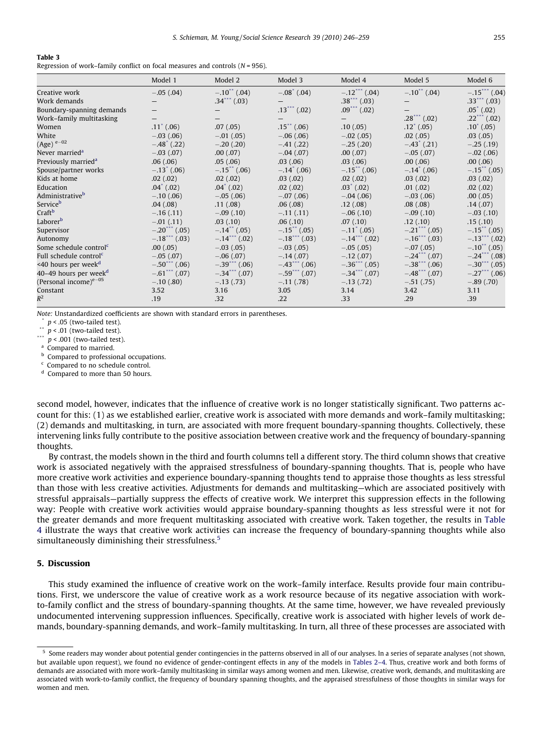<span id="page-9-0"></span>Regression of work–family conflict on focal measures and controls  $(N = 956)$ .

| $-.10$ <sup>**</sup> (.04)<br>$-.12$ *** (.04)<br>$-.08^{\degree}$ (.04)<br>$-.10^{**}(.04)$<br>$-.05(.04)$<br>Creative work<br>$.38$ (.03)<br>$.34$ $(.03)$<br>Work demands<br>$.13$ (.02)<br>$.09$ (.02)<br>$.05^*$ (.02)<br>Boundary-spanning demands<br>$.28$ (02)<br>Work-family multitasking<br>$.15$ (.06)<br>$.12^*$ (.05)<br>$.10^*$ (.05)<br>$.11^*$ (.06)<br>Women<br>.07(.05)<br>.10(.05)<br>White<br>$-.03$ (.06)<br>$-.06(.06)$<br>$-.02(.05)$<br>.02(.05)<br>$-.01(.05)$<br>.03(0.05)<br>$(Age)^{e-02}$<br>$-.48^*(.22)$<br>$-.43$ (.21)<br>$-.20(.20)$<br>$-.41(.22)$<br>$-.25(.20)$ | Model 6          |
|------------------------------------------------------------------------------------------------------------------------------------------------------------------------------------------------------------------------------------------------------------------------------------------------------------------------------------------------------------------------------------------------------------------------------------------------------------------------------------------------------------------------------------------------------------------------------------------------------|------------------|
|                                                                                                                                                                                                                                                                                                                                                                                                                                                                                                                                                                                                      | $-.15***$ (.04)  |
|                                                                                                                                                                                                                                                                                                                                                                                                                                                                                                                                                                                                      | $.33***$ $(.03)$ |
|                                                                                                                                                                                                                                                                                                                                                                                                                                                                                                                                                                                                      |                  |
|                                                                                                                                                                                                                                                                                                                                                                                                                                                                                                                                                                                                      | $.22$ (.02)      |
|                                                                                                                                                                                                                                                                                                                                                                                                                                                                                                                                                                                                      |                  |
|                                                                                                                                                                                                                                                                                                                                                                                                                                                                                                                                                                                                      |                  |
|                                                                                                                                                                                                                                                                                                                                                                                                                                                                                                                                                                                                      | $-.25(.19)$      |
| $-.03$ (.07)<br>.00(.07)<br>$-.04(.07)$<br>.00(0.07)<br>$-.05(.07)$<br>Never married <sup>a</sup>                                                                                                                                                                                                                                                                                                                                                                                                                                                                                                    | $-.02(.06)$      |
| Previously married <sup>a</sup><br>.06(.06)<br>.05(.06)<br>.03(.06)<br>.03(.06)<br>.00(.06)<br>.00(.06)                                                                                                                                                                                                                                                                                                                                                                                                                                                                                              |                  |
| Spouse/partner works<br>$-.13$ (.06)<br>$-.15$ (.06)<br>$-.14$ (.06)<br>$-.15$ (.06)<br>$-.14^{\circ}$ (.06)                                                                                                                                                                                                                                                                                                                                                                                                                                                                                         | $-.15$ (.05)     |
| .02(.02)<br>.02(.02)<br>.03(.02)<br>.02(.02)<br>.03(.02)<br>.03(.02)<br>Kids at home                                                                                                                                                                                                                                                                                                                                                                                                                                                                                                                 |                  |
| $.04^{\degree}$ (.02)<br>$.03^{\degree}$ (.02)<br>$.04^{\degree}$ (.02)<br>Education<br>.02(.02)<br>.01(.02)<br>.02(.02)                                                                                                                                                                                                                                                                                                                                                                                                                                                                             |                  |
| Administrative <sup>b</sup><br>$-.10(.06)$<br>$-.05(.06)$<br>$-.07(.06)$<br>$-.04(.06)$<br>$-.03(.06)$<br>.00(0.05)                                                                                                                                                                                                                                                                                                                                                                                                                                                                                  |                  |
| Service <sup>b</sup><br>.04(.08)<br>.11(.08)<br>.06(.08)<br>.12(.08)<br>.08(.08)<br>.14(.07)                                                                                                                                                                                                                                                                                                                                                                                                                                                                                                         |                  |
| Craft <sup>b</sup><br>$-.16(.11)$<br>$-.09(.10)$<br>$-.11(.11)$<br>$-.06(.10)$<br>$-.09(.10)$                                                                                                                                                                                                                                                                                                                                                                                                                                                                                                        | $-.03(.10)$      |
| Laborer <sup>b</sup><br>$-.01(.11)$<br>.03(.10)<br>.06(.10)<br>.07(0.10)<br>.12(.10)<br>.15(.10)                                                                                                                                                                                                                                                                                                                                                                                                                                                                                                     |                  |
| $-.20$ (.05)<br>$-.14$ (.05)<br>$-.15$ (.05)<br>$-.11^{\circ}(.05)$<br>$-.21$ (.05)<br>Supervisor                                                                                                                                                                                                                                                                                                                                                                                                                                                                                                    | $-.15$ (.05)     |
| $-.14$ (.02)<br>$-.18$ (.03)<br>$-.16$ (.03)<br>$-.18$ (.03)<br>$-.14$ (.02)<br>Autonomy                                                                                                                                                                                                                                                                                                                                                                                                                                                                                                             | $-.13$ (.02)     |
| Some schedule control <sup>c</sup><br>$-.03(.05)$<br>$-.03(.05)$<br>$-.05(.05)$<br>.00(0.05)<br>$-.07(.05)$                                                                                                                                                                                                                                                                                                                                                                                                                                                                                          | $-.10^{**}(.05)$ |
| Full schedule control <sup>c</sup><br>$-.06(.07)$<br>$-.24$ (.07)<br>$-.05(.07)$<br>$-.14(.07)$<br>$-.12(.07)$                                                                                                                                                                                                                                                                                                                                                                                                                                                                                       | $-.24$ (.08)     |
| $-.38$ (.06)<br><40 hours per week <sup>d</sup><br>$-.36***(0.05)$<br>$-.50$ <sup>***</sup> (.06)<br>$-.39$ (.06)<br>$-.43$ (.06)                                                                                                                                                                                                                                                                                                                                                                                                                                                                    | $-.30***$ (.05)  |
| $-.34$ (.07)<br>$-.59$ (.07)<br>$-.34$ <sup>***</sup> (.07)<br>$-.48$ <sup>***</sup> (.07)<br>40–49 hours per week <sup>d</sup><br>$-.61$ *** (.07)                                                                                                                                                                                                                                                                                                                                                                                                                                                  | $-.27***$ (.06)  |
| (Personal income) $e^{-0.5}$<br>$-.13(.73)$<br>$-.10(.80)$<br>$-.11(.78)$<br>$-.13(.72)$<br>$-.51(.75)$                                                                                                                                                                                                                                                                                                                                                                                                                                                                                              | $-.89(.70)$      |
| 3.52<br>3.16<br>3.05<br>3.14<br>3.42<br>3.11<br>Constant                                                                                                                                                                                                                                                                                                                                                                                                                                                                                                                                             |                  |
| $R^2$<br>.32<br>.22<br>.33<br>.29<br>.19<br>.39                                                                                                                                                                                                                                                                                                                                                                                                                                                                                                                                                      |                  |

Note: Unstandardized coefficients are shown with standard errors in parentheses.

 $\uparrow p$  < .05 (two-tailed test).

\*\*  $p < .01$  (two-tailed test).

 $p < .001$  (two-tailed test).

<sup>a</sup> Compared to married.

**b** Compared to professional occupations.

<sup>c</sup> Compared to no schedule control.

<sup>d</sup> Compared to more than 50 hours.

second model, however, indicates that the influence of creative work is no longer statistically significant. Two patterns account for this: (1) as we established earlier, creative work is associated with more demands and work–family multitasking; (2) demands and multitasking, in turn, are associated with more frequent boundary-spanning thoughts. Collectively, these intervening links fully contribute to the positive association between creative work and the frequency of boundary-spanning thoughts.

By contrast, the models shown in the third and fourth columns tell a different story. The third column shows that creative work is associated negatively with the appraised stressfulness of boundary-spanning thoughts. That is, people who have more creative work activities and experience boundary-spanning thoughts tend to appraise those thoughts as less stressful than those with less creative activities. Adjustments for demands and multitasking—which are associated positively with stressful appraisals—partially suppress the effects of creative work. We interpret this suppression effects in the following way: People with creative work activities would appraise boundary-spanning thoughts as less stressful were it not for the greater demands and more frequent multitasking associated with creative work. Taken together, the results in [Table](#page-11-0) [4](#page-11-0) illustrate the ways that creative work activities can increase the frequency of boundary-spanning thoughts while also simultaneously diminishing their stressfulness.<sup>5</sup>

# 5. Discussion

This study examined the influence of creative work on the work–family interface. Results provide four main contributions. First, we underscore the value of creative work as a work resource because of its negative association with workto-family conflict and the stress of boundary-spanning thoughts. At the same time, however, we have revealed previously undocumented intervening suppression influences. Specifically, creative work is associated with higher levels of work demands, boundary-spanning demands, and work–family multitasking. In turn, all three of these processes are associated with

<sup>&</sup>lt;sup>5</sup> Some readers may wonder about potential gender contingencies in the patterns observed in all of our analyses. In a series of separate analyses (not shown, but available upon request), we found no evidence of gender-contingent effects in any of the models in [Tables 2–4.](#page-8-0) Thus, creative work and both forms of demands are associated with more work–family multitasking in similar ways among women and men. Likewise, creative work, demands, and multitasking are associated with work-to-family conflict, the frequency of boundary spanning thoughts, and the appraised stressfulness of those thoughts in similar ways for women and men.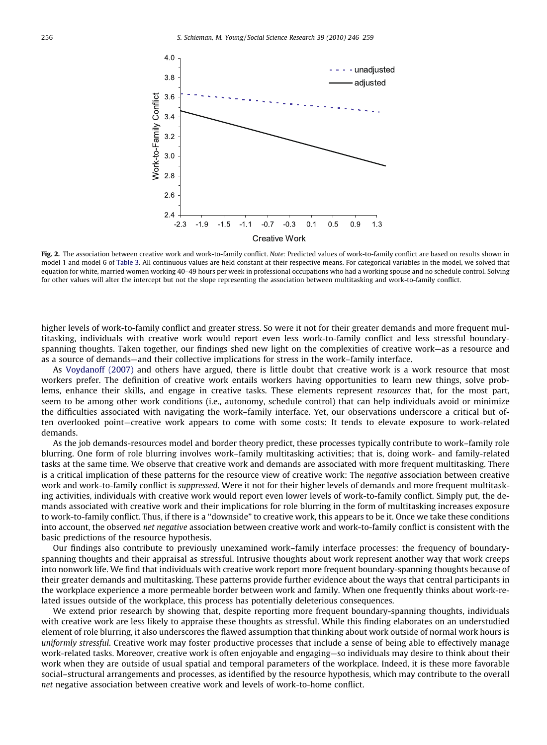<span id="page-10-0"></span>

Fig. 2. The association between creative work and work-to-family conflict. Note: Predicted values of work-to-family conflict are based on results shown in model 1 and model 6 of [Table 3](#page-9-0). All continuous values are held constant at their respective means. For categorical variables in the model, we solved that equation for white, married women working 40–49 hours per week in professional occupations who had a working spouse and no schedule control. Solving for other values will alter the intercept but not the slope representing the association between multitasking and work-to-family conflict.

higher levels of work-to-family conflict and greater stress. So were it not for their greater demands and more frequent multitasking, individuals with creative work would report even less work-to-family conflict and less stressful boundaryspanning thoughts. Taken together, our findings shed new light on the complexities of creative work—as a resource and as a source of demands—and their collective implications for stress in the work–family interface.

As [Voydanoff \(2007\)](#page-13-0) and others have argued, there is little doubt that creative work is a work resource that most workers prefer. The definition of creative work entails workers having opportunities to learn new things, solve problems, enhance their skills, and engage in creative tasks. These elements represent resources that, for the most part, seem to be among other work conditions (i.e., autonomy, schedule control) that can help individuals avoid or minimize the difficulties associated with navigating the work–family interface. Yet, our observations underscore a critical but often overlooked point—creative work appears to come with some costs: It tends to elevate exposure to work-related demands.

As the job demands-resources model and border theory predict, these processes typically contribute to work–family role blurring. One form of role blurring involves work–family multitasking activities; that is, doing work- and family-related tasks at the same time. We observe that creative work and demands are associated with more frequent multitasking. There is a critical implication of these patterns for the resource view of creative work: The negative association between creative work and work-to-family conflict is suppressed. Were it not for their higher levels of demands and more frequent multitasking activities, individuals with creative work would report even lower levels of work-to-family conflict. Simply put, the demands associated with creative work and their implications for role blurring in the form of multitasking increases exposure to work-to-family conflict. Thus, if there is a ''downside" to creative work, this appears to be it. Once we take these conditions into account, the observed net negative association between creative work and work-to-family conflict is consistent with the basic predictions of the resource hypothesis.

Our findings also contribute to previously unexamined work–family interface processes: the frequency of boundaryspanning thoughts and their appraisal as stressful. Intrusive thoughts about work represent another way that work creeps into nonwork life. We find that individuals with creative work report more frequent boundary-spanning thoughts because of their greater demands and multitasking. These patterns provide further evidence about the ways that central participants in the workplace experience a more permeable border between work and family. When one frequently thinks about work-related issues outside of the workplace, this process has potentially deleterious consequences.

We extend prior research by showing that, despite reporting more frequent boundary-spanning thoughts, individuals with creative work are less likely to appraise these thoughts as stressful. While this finding elaborates on an understudied element of role blurring, it also underscores the flawed assumption that thinking about work outside of normal work hours is uniformly stressful. Creative work may foster productive processes that include a sense of being able to effectively manage work-related tasks. Moreover, creative work is often enjoyable and engaging—so individuals may desire to think about their work when they are outside of usual spatial and temporal parameters of the workplace. Indeed, it is these more favorable social–structural arrangements and processes, as identified by the resource hypothesis, which may contribute to the overall net negative association between creative work and levels of work-to-home conflict.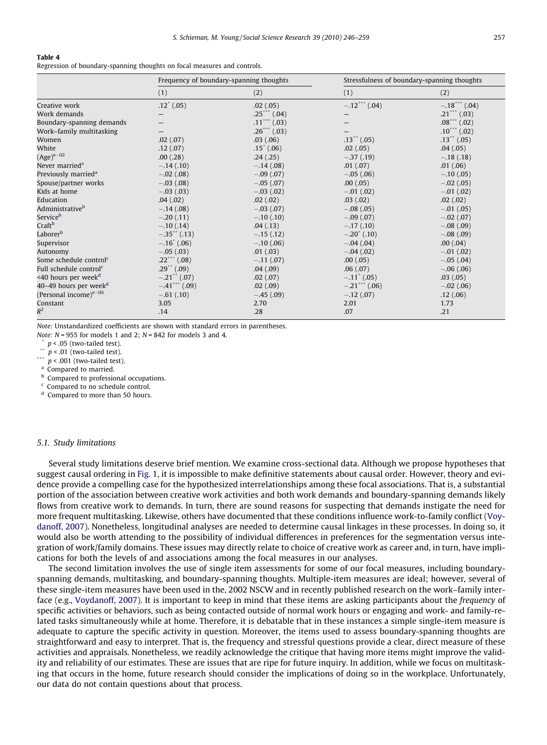<span id="page-11-0"></span>Regression of boundary-spanning thoughts on focal measures and controls.

|                                    | Frequency of boundary-spanning thoughts |                  | Stressfulness of boundary-spanning thoughts |                   |
|------------------------------------|-----------------------------------------|------------------|---------------------------------------------|-------------------|
|                                    | (1)                                     | (2)              | (1)                                         | (2)               |
| Creative work                      | $.12^*(.05)$                            | .02(.05)         | $-.12$ <sup>***</sup> (.04)                 | $-.18$ (.04)      |
| Work demands                       |                                         | $.25$ (.04)      |                                             | $.21$ (.03)       |
| Boundary-spanning demands          |                                         | $.11***$ $(.03)$ |                                             | $.08***$ $(.02)$  |
| Work-family multitasking           |                                         | $.26$ (.03)      |                                             | $.10^{***}$ (.02) |
| Women                              | .02(.07)                                | .03(.06)         | $.13$ (.05)                                 | $.13$ (.05)       |
| White                              | .12(.07)                                | $.15^*$ (.06)    | .02(.05)                                    | .04(.05)          |
| $(Age)^{e-02}$                     | .00(.28)                                | .24(.25)         | $-.37(.19)$                                 | $-.18(.18)$       |
| Never married <sup>a</sup>         | $-.14(.10)$                             | $-.14(.08)$      | .01(.07)                                    | .01(.06)          |
| Previously married <sup>a</sup>    | $-.02(.08)$                             | $-.09(.07)$      | $-.05(.06)$                                 | $-.10(.05)$       |
| Spouse/partner works               | $-.03(.08)$                             | $-.05(.07)$      | .00(.05)                                    | $-.02(.05)$       |
| Kids at home                       | $-.03(.03)$                             | $-.03(.02)$      | $-.01(.02)$                                 | $-.01(.02)$       |
| Education                          | .04(.02)                                | .02(.02)         | .03(.02)                                    | .02(.02)          |
| Administrative <sup>b</sup>        | $-.14(.08)$                             | $-.03$ (.07)     | $-.08(.05)$                                 | $-.01(.05)$       |
| Service <sup>b</sup>               | $-.20(.11)$                             | $-.10(.10)$      | $-.09(.07)$                                 | $-.02(.07)$       |
| Craft <sup>b</sup>                 | $-.10(.14)$                             | .04(.13)         | $-.17(.10)$                                 | $-.08(.09)$       |
| Laborer <sup>b</sup>               | $-.35$ (.13)                            | $-.15(.12)$      | $-.20^*$ (.10)                              | $-.08(.09)$       |
| Supervisor                         | $-.16^*(.06)$                           | $-.10(.06)$      | $-.04(.04)$                                 | .00(.04)          |
| Autonomy                           | $-.05(.03)$                             | .01(.03)         | $-.04(.02)$                                 | $-.01(.02)$       |
| Some schedule control <sup>c</sup> | $.22$ <sup>***</sup> (.08)              | $-.11(.07)$      | .00(.05)                                    | $-.05(.04)$       |
| Full schedule control <sup>c</sup> | $.29$ (.09)                             | .04(.09)         | .06(.07)                                    | $-.06(.06)$       |
| <40 hours per week <sup>d</sup>    | $-.21$ (.07)                            | .02(.07)         | $-.11^*(.05)$                               | .03(.05)          |
| 40–49 hours per week $d$           | $-.41$ (.09)                            | .02(.09)         | $-.21$ (.06)                                | $-.02(.06)$       |
| (Personal income) $e^{-0.5}$       | $-.61(.10)$                             | $-.45(.09)$      | $-.12(.07)$                                 | .12(.06)          |
| Constant                           | 3.05                                    | 2.70             | 2.01                                        | 1.73              |
| $R^2$                              | .14                                     | .28              | .07                                         | .21               |

Note: Unstandardized coefficients are shown with standard errors in parentheses.

Note:  $N = 955$  for models 1 and 2;  $N = 842$  for models 3 and 4.

 $p < .05$  (two-tailed test).

\*\*  $p < .01$  (two-tailed test).

 $p < .001$  (two-tailed test).

<sup>a</sup> Compared to married.

**b** Compared to professional occupations.

<sup>c</sup> Compared to no schedule control.

<sup>d</sup> Compared to more than 50 hours.

#### 5.1. Study limitations

Several study limitations deserve brief mention. We examine cross-sectional data. Although we propose hypotheses that suggest causal ordering in [Fig. 1,](#page-5-0) it is impossible to make definitive statements about causal order. However, theory and evidence provide a compelling case for the hypothesized interrelationships among these focal associations. That is, a substantial portion of the association between creative work activities and both work demands and boundary-spanning demands likely flows from creative work to demands. In turn, there are sound reasons for suspecting that demands instigate the need for more frequent multitasking. Likewise, others have documented that these conditions influence work-to-family conflict [\(Voy](#page-13-0)[danoff, 2007](#page-13-0)). Nonetheless, longitudinal analyses are needed to determine causal linkages in these processes. In doing so, it would also be worth attending to the possibility of individual differences in preferences for the segmentation versus integration of work/family domains. These issues may directly relate to choice of creative work as career and, in turn, have implications for both the levels of and associations among the focal measures in our analyses.

The second limitation involves the use of single item assessments for some of our focal measures, including boundaryspanning demands, multitasking, and boundary-spanning thoughts. Multiple-item measures are ideal; however, several of these single-item measures have been used in the, 2002 NSCW and in recently published research on the work–family interface (e.g., [Voydanoff, 2007\)](#page-13-0). It is important to keep in mind that these items are asking participants about the frequency of specific activities or behaviors, such as being contacted outside of normal work hours or engaging and work- and family-related tasks simultaneously while at home. Therefore, it is debatable that in these instances a simple single-item measure is adequate to capture the specific activity in question. Moreover, the items used to assess boundary-spanning thoughts are straightforward and easy to interpret. That is, the frequency and stressful questions provide a clear, direct measure of these activities and appraisals. Nonetheless, we readily acknowledge the critique that having more items might improve the validity and reliability of our estimates. These are issues that are ripe for future inquiry. In addition, while we focus on multitasking that occurs in the home, future research should consider the implications of doing so in the workplace. Unfortunately, our data do not contain questions about that process.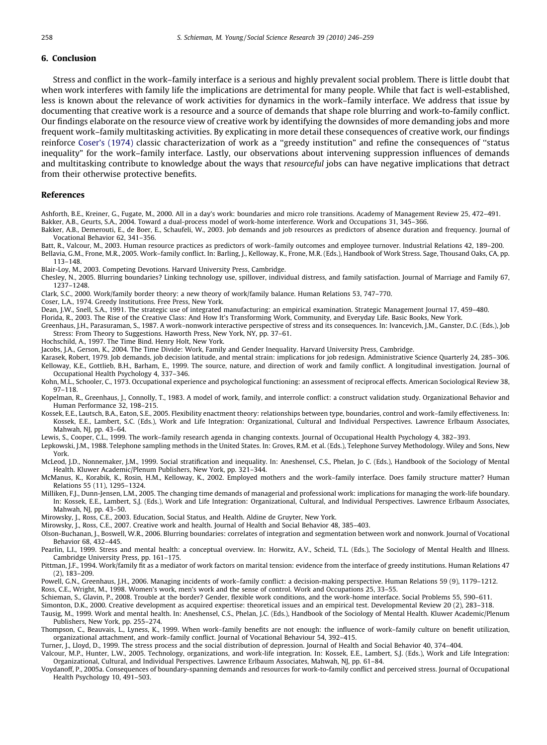#### <span id="page-12-0"></span>6. Conclusion

Stress and conflict in the work–family interface is a serious and highly prevalent social problem. There is little doubt that when work interferes with family life the implications are detrimental for many people. While that fact is well-established, less is known about the relevance of work activities for dynamics in the work–family interface. We address that issue by documenting that creative work is a resource and a source of demands that shape role blurring and work-to-family conflict. Our findings elaborate on the resource view of creative work by identifying the downsides of more demanding jobs and more frequent work–family multitasking activities. By explicating in more detail these consequences of creative work, our findings reinforce Coser's (1974) classic characterization of work as a ''greedy institution" and refine the consequences of ''status inequality" for the work–family interface. Lastly, our observations about intervening suppression influences of demands and multitasking contribute to knowledge about the ways that *resourceful* jobs can have negative implications that detract from their otherwise protective benefits.

#### References

- Ashforth, B.E., Kreiner, G., Fugate, M., 2000. All in a day's work: boundaries and micro role transitions. Academy of Management Review 25, 472–491. Bakker, A.B., Geurts, S.A., 2004. Toward a dual-process model of work-home interference. Work and Occupations 31, 345–366.
- Bakker, A.B., Demerouti, E., de Boer, E., Schaufeli, W., 2003. Job demands and job resources as predictors of absence duration and frequency. Journal of Vocational Behavior 62, 341–356.
- Batt, R., Valcour, M., 2003. Human resource practices as predictors of work–family outcomes and employee turnover. Industrial Relations 42, 189–200. Bellavia, G.M., Frone, M.R., 2005. Work–family conflict. In: Barling, J., Kelloway, K., Frone, M.R. (Eds.), Handbook of Work Stress. Sage, Thousand Oaks, CA, pp. 113–148.
- Blair-Loy, M., 2003. Competing Devotions. Harvard University Press, Cambridge.
- Chesley, N., 2005. Blurring boundaries? Linking technology use, spillover, individual distress, and family satisfaction. Journal of Marriage and Family 67, 1237–1248.
- Clark, S.C., 2000. Work/family border theory: a new theory of work/family balance. Human Relations 53, 747–770.
- Coser, L.A., 1974. Greedy Institutions. Free Press, New York.
- Dean, J.W., Snell, S.A., 1991. The strategic use of integrated manufacturing: an empirical examination. Strategic Management Journal 17, 459–480.
- Florida, R., 2003. The Rise of the Creative Class: And How It's Transforming Work, Community, and Everyday Life. Basic Books, New York.
- Greenhaus, J.H., Parasuraman, S., 1987. A work–nonwork interactive perspective of stress and its consequences. In: Ivancevich, J.M., Ganster, D.C. (Eds.), Job Stress: From Theory to Suggestions. Haworth Press, New York, NY, pp. 37–61.
- Hochschild, A., 1997. The Time Bind. Henry Holt, New York.
- Jacobs, J.A., Gerson, K., 2004. The Time Divide: Work, Family and Gender Inequality. Harvard University Press, Cambridge.
- Karasek, Robert, 1979. Job demands, job decision latitude, and mental strain: implications for job redesign. Administrative Science Quarterly 24, 285–306. Kelloway, K.E., Gottlieb, B.H., Barham, E., 1999. The source, nature, and direction of work and family conflict. A longitudinal investigation. Journal of Occupational Health Psychology 4, 337–346.
- Kohn, M.L., Schooler, C., 1973. Occupational experience and psychological functioning: an assessment of reciprocal effects. American Sociological Review 38, 97–118.
- Kopelman, R., Greenhaus, J., Connolly, T., 1983. A model of work, family, and interrole conflict: a construct validation study. Organizational Behavior and Human Performance 32, 198–215.
- Kossek, E.E., Lautsch, B.A., Eaton, S.E., 2005. Flexibility enactment theory: relationships between type, boundaries, control and work–family effectiveness. In: Kossek, E.E., Lambert, S.C. (Eds.), Work and Life Integration: Organizational, Cultural and Individual Perspectives. Lawrence Erlbaum Associates, Mahwah, NJ, pp. 43–64.

Lewis, S., Cooper, C.L., 1999. The work–family research agenda in changing contexts. Journal of Occupational Health Psychology 4, 382–393.

Lepkowski, J.M., 1988. Telephone sampling methods in the United States. In: Groves, R.M. et al. (Eds.), Telephone Survey Methodology. Wiley and Sons, New York.

- McLeod, J.D., Nonnemaker, J.M., 1999. Social stratification and inequality. In: Aneshensel, C.S., Phelan, Jo C. (Eds.), Handbook of the Sociology of Mental Health. Kluwer Academic/Plenum Publishers, New York, pp. 321–344.
- McManus, K., Korabik, K., Rosin, H.M., Kelloway, K., 2002. Employed mothers and the work–family interface. Does family structure matter? Human Relations 55 (11), 1295–1324.
- Milliken, F.J., Dunn-Jensen, L.M., 2005. The changing time demands of managerial and professional work: implications for managing the work-life boundary. In: Kossek, E.E., Lambert, S.J. (Eds.), Work and Life Integration: Organizational, Cultural, and Individual Perspectives. Lawrence Erlbaum Associates, Mahwah, NJ, pp. 43–50.
- Mirowsky, J., Ross, C.E., 2003. Education, Social Status, and Health. Aldine de Gruyter, New York.
- Mirowsky, J., Ross, C.E., 2007. Creative work and health. Journal of Health and Social Behavior 48, 385–403.
- Olson-Buchanan, J., Boswell, W.R., 2006. Blurring boundaries: correlates of integration and segmentation between work and nonwork. Journal of Vocational Behavior 68, 432–445.
- Pearlin, L.I., 1999. Stress and mental health: a conceptual overview. In: Horwitz, A.V., Scheid, T.L. (Eds.), The Sociology of Mental Health and Illness. Cambridge University Press, pp. 161–175.
- Pittman, J.F., 1994. Work/family fit as a mediator of work factors on marital tension: evidence from the interface of greedy institutions. Human Relations 47 (2), 183–209.
- Powell, G.N., Greenhaus, J.H., 2006. Managing incidents of work–family conflict: a decision-making perspective. Human Relations 59 (9), 1179–1212.<br>Ross, C.E., Wright, M., 1998. Women's work, men's work and the sense of con
- Schieman, S., Glavin, P., 2008. Trouble at the border? Gender, flexible work conditions, and the work-home interface. Social Problems 55, 590–611.

Simonton, D.K., 2000. Creative development as acquired expertise: theoretical issues and an empirical test. Developmental Review 20 (2), 283–318.

Tausig, M., 1999. Work and mental health. In: Aneshensel, C.S., Phelan, J.C. (Eds.), Handbook of the Sociology of Mental Health. Kluwer Academic/Plenum Publishers, New York, pp. 255–274.

- Thompson, C., Beauvais, L., Lyness, K., 1999. When work–family benefits are not enough: the influence of work–family culture on benefit utilization, organizational attachment, and work–family conflict. Journal of Vocational Behaviour 54, 392–415.
- Turner, J., Lloyd, D., 1999. The stress process and the social distribution of depression. Journal of Health and Social Behavior 40, 374–404.
- Valcour, M.P., Hunter, L.W., 2005. Technology, organizations, and work-life integration. In: Kossek, E.E., Lambert, S.J. (Eds.), Work and Life Integration: Organizational, Cultural, and Individual Perspectives. Lawrence Erlbaum Associates, Mahwah, NJ, pp. 61–84.
- Voydanoff, P., 2005a. Consequences of boundary-spanning demands and resources for work-to-family conflict and perceived stress. Journal of Occupational Health Psychology 10, 491-503.